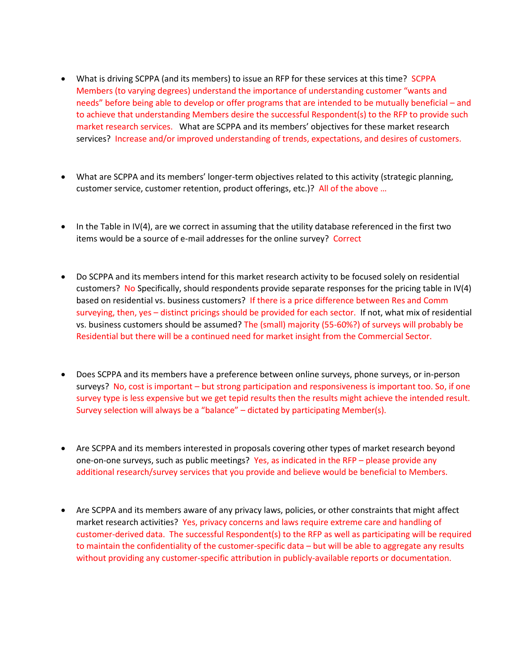- What is driving SCPPA (and its members) to issue an RFP for these services at this time? SCPPA Members (to varying degrees) understand the importance of understanding customer "wants and needs" before being able to develop or offer programs that are intended to be mutually beneficial – and to achieve that understanding Members desire the successful Respondent(s) to the RFP to provide such market research services. What are SCPPA and its members' objectives for these market research services? Increase and/or improved understanding of trends, expectations, and desires of customers.
- What are SCPPA and its members' longer-term objectives related to this activity (strategic planning, customer service, customer retention, product offerings, etc.)? All of the above …
- In the Table in IV(4), are we correct in assuming that the utility database referenced in the first two items would be a source of e-mail addresses for the online survey? Correct
- Do SCPPA and its members intend for this market research activity to be focused solely on residential customers? No Specifically, should respondents provide separate responses for the pricing table in IV(4) based on residential vs. business customers? If there is a price difference between Res and Comm surveying, then, yes – distinct pricings should be provided for each sector. If not, what mix of residential vs. business customers should be assumed? The (small) majority (55-60%?) of surveys will probably be Residential but there will be a continued need for market insight from the Commercial Sector.
- Does SCPPA and its members have a preference between online surveys, phone surveys, or in-person surveys? No, cost is important – but strong participation and responsiveness is important too. So, if one survey type is less expensive but we get tepid results then the results might achieve the intended result. Survey selection will always be a "balance" – dictated by participating Member(s).
- Are SCPPA and its members interested in proposals covering other types of market research beyond one-on-one surveys, such as public meetings? Yes, as indicated in the RFP – please provide any additional research/survey services that you provide and believe would be beneficial to Members.
- Are SCPPA and its members aware of any privacy laws, policies, or other constraints that might affect market research activities? Yes, privacy concerns and laws require extreme care and handling of customer-derived data. The successful Respondent(s) to the RFP as well as participating will be required to maintain the confidentiality of the customer-specific data – but will be able to aggregate any results without providing any customer-specific attribution in publicly-available reports or documentation.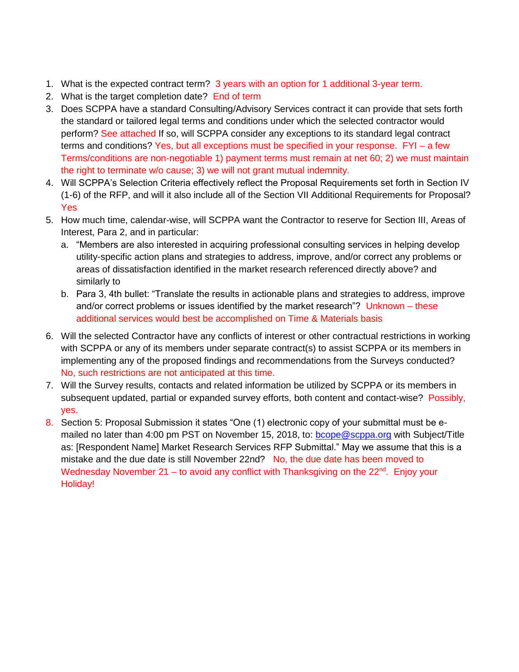- 1. What is the expected contract term? 3 years with an option for 1 additional 3-year term.
- 2. What is the target completion date? End of term
- 3. Does SCPPA have a standard Consulting/Advisory Services contract it can provide that sets forth the standard or tailored legal terms and conditions under which the selected contractor would perform? See attached If so, will SCPPA consider any exceptions to its standard legal contract terms and conditions? Yes, but all exceptions must be specified in your response. FYI – a few Terms/conditions are non-negotiable 1) payment terms must remain at net 60; 2) we must maintain the right to terminate w/o cause; 3) we will not grant mutual indemnity.
- 4. Will SCPPA's Selection Criteria effectively reflect the Proposal Requirements set forth in Section IV (1-6) of the RFP, and will it also include all of the Section VII Additional Requirements for Proposal? Yes
- 5. How much time, calendar-wise, will SCPPA want the Contractor to reserve for Section III, Areas of Interest, Para 2, and in particular:
	- a. "Members are also interested in acquiring professional consulting services in helping develop utility-specific action plans and strategies to address, improve, and/or correct any problems or areas of dissatisfaction identified in the market research referenced directly above? and similarly to
	- b. Para 3, 4th bullet: "Translate the results in actionable plans and strategies to address, improve and/or correct problems or issues identified by the market research"? Unknown – these additional services would best be accomplished on Time & Materials basis
- 6. Will the selected Contractor have any conflicts of interest or other contractual restrictions in working with SCPPA or any of its members under separate contract(s) to assist SCPPA or its members in implementing any of the proposed findings and recommendations from the Surveys conducted? No, such restrictions are not anticipated at this time.
- 7. Will the Survey results, contacts and related information be utilized by SCPPA or its members in subsequent updated, partial or expanded survey efforts, both content and contact-wise? Possibly, yes.
- 8. Section 5: Proposal Submission it states "One (1) electronic copy of your submittal must be emailed no later than 4:00 pm PST on November 15, 2018, to: [bcope@scppa.org](mailto:bcope@scppa.org) with Subject/Title as: [Respondent Name] Market Research Services RFP Submittal." May we assume that this is a mistake and the due date is still November 22nd? No, the due date has been moved to Wednesday November 21 – to avoid any conflict with Thanksgiving on the  $22<sup>nd</sup>$ . Enjoy your Holiday!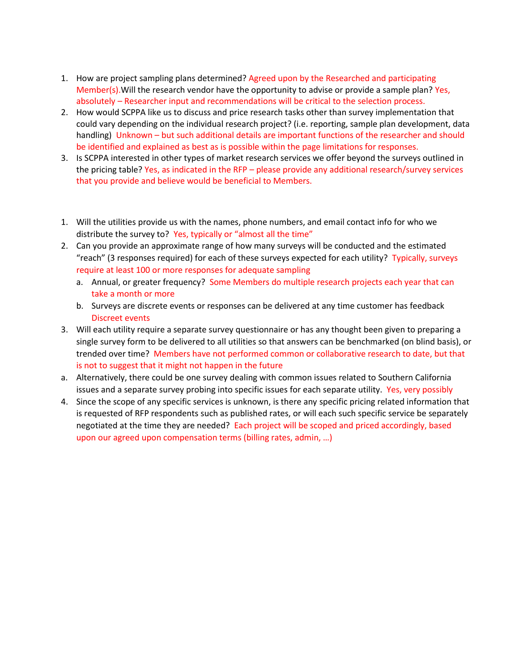- 1. How are project sampling plans determined? Agreed upon by the Researched and participating Member(s). Will the research vendor have the opportunity to advise or provide a sample plan? Yes, absolutely – Researcher input and recommendations will be critical to the selection process.
- 2. How would SCPPA like us to discuss and price research tasks other than survey implementation that could vary depending on the individual research project? (i.e. reporting, sample plan development, data handling) Unknown – but such additional details are important functions of the researcher and should be identified and explained as best as is possible within the page limitations for responses.
- 3. Is SCPPA interested in other types of market research services we offer beyond the surveys outlined in the pricing table? Yes, as indicated in the RFP – please provide any additional research/survey services that you provide and believe would be beneficial to Members.
- 1. Will the utilities provide us with the names, phone numbers, and email contact info for who we distribute the survey to? Yes, typically or "almost all the time"
- 2. Can you provide an approximate range of how many surveys will be conducted and the estimated "reach" (3 responses required) for each of these surveys expected for each utility? Typically, surveys require at least 100 or more responses for adequate sampling
	- a. Annual, or greater frequency? Some Members do multiple research projects each year that can take a month or more
	- b. Surveys are discrete events or responses can be delivered at any time customer has feedback Discreet events
- 3. Will each utility require a separate survey questionnaire or has any thought been given to preparing a single survey form to be delivered to all utilities so that answers can be benchmarked (on blind basis), or trended over time? Members have not performed common or collaborative research to date, but that is not to suggest that it might not happen in the future
- a. Alternatively, there could be one survey dealing with common issues related to Southern California issues and a separate survey probing into specific issues for each separate utility. Yes, very possibly
- 4. Since the scope of any specific services is unknown, is there any specific pricing related information that is requested of RFP respondents such as published rates, or will each such specific service be separately negotiated at the time they are needed? Each project will be scoped and priced accordingly, based upon our agreed upon compensation terms (billing rates, admin, …)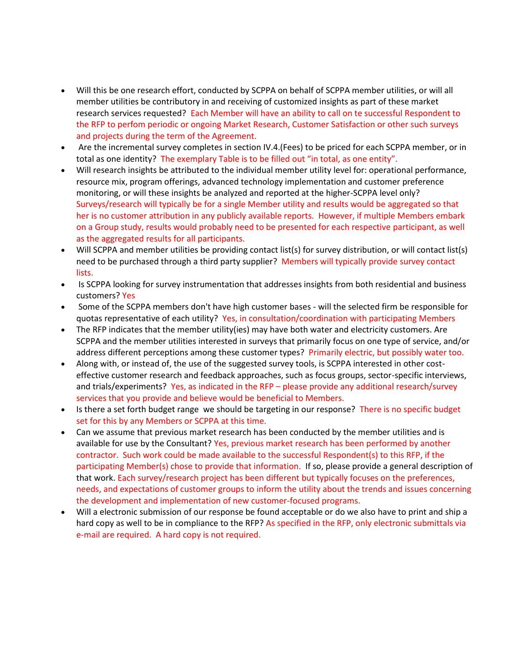- Will this be one research effort, conducted by SCPPA on behalf of SCPPA member utilities, or will all member utilities be contributory in and receiving of customized insights as part of these market research services requested? Each Member will have an ability to call on te successful Respondent to the RFP to perfom periodic or ongoing Market Research, Customer Satisfaction or other such surveys and projects during the term of the Agreement.
- Are the incremental survey completes in section IV.4.(Fees) to be priced for each SCPPA member, or in total as one identity? The exemplary Table is to be filled out "in total, as one entity".
- Will research insights be attributed to the individual member utility level for: operational performance, resource mix, program offerings, advanced technology implementation and customer preference monitoring, or will these insights be analyzed and reported at the higher-SCPPA level only? Surveys/research will typically be for a single Member utility and results would be aggregated so that her is no customer attribution in any publicly available reports. However, if multiple Members embark on a Group study, results would probably need to be presented for each respective participant, as well as the aggregated results for all participants.
- Will SCPPA and member utilities be providing contact list(s) for survey distribution, or will contact list(s) need to be purchased through a third party supplier? Members will typically provide survey contact lists.
- Is SCPPA looking for survey instrumentation that addresses insights from both residential and business customers? Yes
- Some of the SCPPA members don't have high customer bases will the selected firm be responsible for quotas representative of each utility? Yes, in consultation/coordination with participating Members
- The RFP indicates that the member utility(ies) may have both water and electricity customers. Are SCPPA and the member utilities interested in surveys that primarily focus on one type of service, and/or address different perceptions among these customer types? Primarily electric, but possibly water too.
- Along with, or instead of, the use of the suggested survey tools, is SCPPA interested in other costeffective customer research and feedback approaches, such as focus groups, sector-specific interviews, and trials/experiments? Yes, as indicated in the RFP – please provide any additional research/survey services that you provide and believe would be beneficial to Members.
- Is there a set forth budget range we should be targeting in our response? There is no specific budget set for this by any Members or SCPPA at this time.
- Can we assume that previous market research has been conducted by the member utilities and is available for use by the Consultant? Yes, previous market research has been performed by another contractor. Such work could be made available to the successful Respondent(s) to this RFP, if the participating Member(s) chose to provide that information. If so, please provide a general description of that work. Each survey/research project has been different but typically focuses on the preferences, needs, and expectations of customer groups to inform the utility about the trends and issues concerning the development and implementation of new customer-focused programs.
- Will a electronic submission of our response be found acceptable or do we also have to print and ship a hard copy as well to be in compliance to the RFP? As specified in the RFP, only electronic submittals via e-mail are required. A hard copy is not required.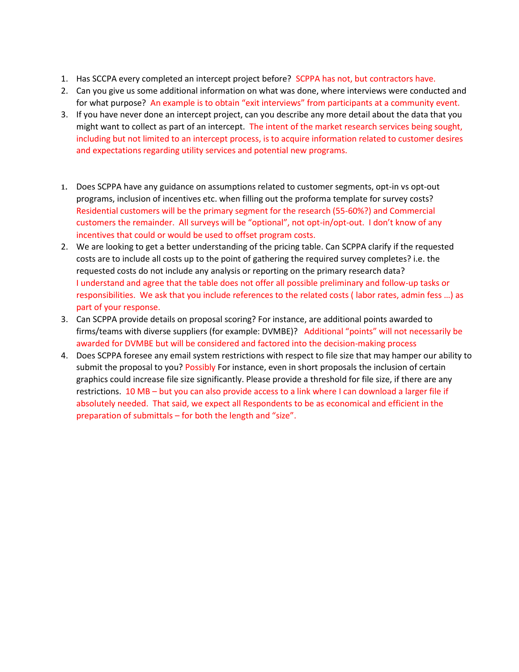- 1. Has SCCPA every completed an intercept project before? SCPPA has not, but contractors have.
- 2. Can you give us some additional information on what was done, where interviews were conducted and for what purpose? An example is to obtain "exit interviews" from participants at a community event.
- 3. If you have never done an intercept project, can you describe any more detail about the data that you might want to collect as part of an intercept. The intent of the market research services being sought, including but not limited to an intercept process, is to acquire information related to customer desires and expectations regarding utility services and potential new programs.
- 1. Does SCPPA have any guidance on assumptions related to customer segments, opt-in vs opt-out programs, inclusion of incentives etc. when filling out the proforma template for survey costs? Residential customers will be the primary segment for the research (55-60%?) and Commercial customers the remainder. All surveys will be "optional", not opt-in/opt-out. I don't know of any incentives that could or would be used to offset program costs.
- 2. We are looking to get a better understanding of the pricing table. Can SCPPA clarify if the requested costs are to include all costs up to the point of gathering the required survey completes? i.e. the requested costs do not include any analysis or reporting on the primary research data? I understand and agree that the table does not offer all possible preliminary and follow-up tasks or responsibilities. We ask that you include references to the related costs ( labor rates, admin fess …) as part of your response.
- 3. Can SCPPA provide details on proposal scoring? For instance, are additional points awarded to firms/teams with diverse suppliers (for example: DVMBE)? Additional "points" will not necessarily be awarded for DVMBE but will be considered and factored into the decision-making process
- 4. Does SCPPA foresee any email system restrictions with respect to file size that may hamper our ability to submit the proposal to you? Possibly For instance, even in short proposals the inclusion of certain graphics could increase file size significantly. Please provide a threshold for file size, if there are any restrictions. 10 MB – but you can also provide access to a link where I can download a larger file if absolutely needed. That said, we expect all Respondents to be as economical and efficient in the preparation of submittals – for both the length and "size".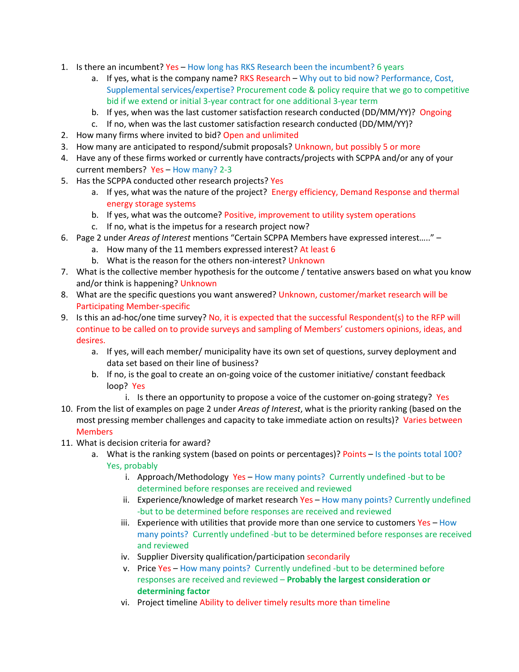- 1. Is there an incumbent? Yes How long has RKS Research been the incumbent? 6 years
	- a. If yes, what is the company name? RKS Research Why out to bid now? Performance, Cost, Supplemental services/expertise? Procurement code & policy require that we go to competitive bid if we extend or initial 3-year contract for one additional 3-year term
	- b. If yes, when was the last customer satisfaction research conducted (DD/MM/YY)? Ongoing
	- c. If no, when was the last customer satisfaction research conducted (DD/MM/YY)?
- 2. How many firms where invited to bid? Open and unlimited
- 3. How many are anticipated to respond/submit proposals? Unknown, but possibly 5 or more
- 4. Have any of these firms worked or currently have contracts/projects with SCPPA and/or any of your current members? Yes – How many? 2-3
- 5. Has the SCPPA conducted other research projects? Yes
	- a. If yes, what was the nature of the project? Energy efficiency, Demand Response and thermal energy storage systems
	- b. If yes, what was the outcome? Positive, improvement to utility system operations
	- c. If no, what is the impetus for a research project now?
- 6. Page 2 under *Areas of Interest* mentions "Certain SCPPA Members have expressed interest….."
	- a. How many of the 11 members expressed interest? At least 6
	- b. What is the reason for the others non-interest? Unknown
- 7. What is the collective member hypothesis for the outcome / tentative answers based on what you know and/or think is happening? Unknown
- 8. What are the specific questions you want answered? Unknown, customer/market research will be Participating Member-specific
- 9. Is this an ad-hoc/one time survey? No, it is expected that the successful Respondent(s) to the RFP will continue to be called on to provide surveys and sampling of Members' customers opinions, ideas, and desires.
	- a. If yes, will each member/ municipality have its own set of questions, survey deployment and data set based on their line of business?
	- b. If no, is the goal to create an on-going voice of the customer initiative/ constant feedback loop? Yes
		- i. Is there an opportunity to propose a voice of the customer on-going strategy? Yes
- 10. From the list of examples on page 2 under *Areas of Interest*, what is the priority ranking (based on the most pressing member challenges and capacity to take immediate action on results)? Varies between **Members**
- 11. What is decision criteria for award?
	- a. What is the ranking system (based on points or percentages)? Points Is the points total 100? Yes, probably
		- i. Approach/Methodology Yes How many points? Currently undefined -but to be determined before responses are received and reviewed
		- ii. Experience/knowledge of market research Yes How many points? Currently undefined -but to be determined before responses are received and reviewed
		- iii. Experience with utilities that provide more than one service to customers Yes  $-$  How many points? Currently undefined -but to be determined before responses are received and reviewed
		- iv. Supplier Diversity qualification/participation secondarily
		- v. Price Yes How many points? Currently undefined -but to be determined before responses are received and reviewed – **Probably the largest consideration or determining factor**
		- vi. Project timeline Ability to deliver timely results more than timeline